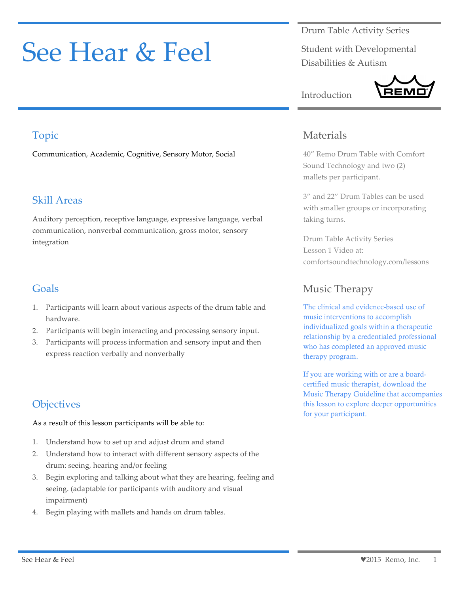# See Hear & Feel

Drum Table Activity Series

Student with Developmental Disabilities & Autism



# Topic

Communication, Academic, Cognitive, Sensory Motor, Social

## Skill Areas

Auditory perception, receptive language, expressive language, verbal communication, nonverbal communication, gross motor, sensory integration

## Goals

- 1. Participants will learn about various aspects of the drum table and hardware.
- 2. Participants will begin interacting and processing sensory input.
- 3. Participants will process information and sensory input and then express reaction verbally and nonverbally

# **Objectives**

As a result of this lesson participants will be able to:

- 1. Understand how to set up and adjust drum and stand
- 2. Understand how to interact with different sensory aspects of the drum: seeing, hearing and/or feeling
- 3. Begin exploring and talking about what they are hearing, feeling and seeing. (adaptable for participants with auditory and visual impairment)
- 4. Begin playing with mallets and hands on drum tables.

## Materials

Introduction

40" Remo Drum Table with Comfort Sound Technology and two (2) mallets per participant.

3" and 22" Drum Tables can be used with smaller groups or incorporating taking turns.

Drum Table Activity Series Lesson 1 Video at: comfortsoundtechnology.com/lessons

# Music Therapy

The clinical and evidence-based use of music interventions to accomplish individualized goals within a therapeutic relationship by a credentialed professional who has completed an approved music therapy program.

If you are working with or are a boardcertified music therapist, download the Music Therapy Guideline that accompanies this lesson to explore deeper opportunities for your participant.